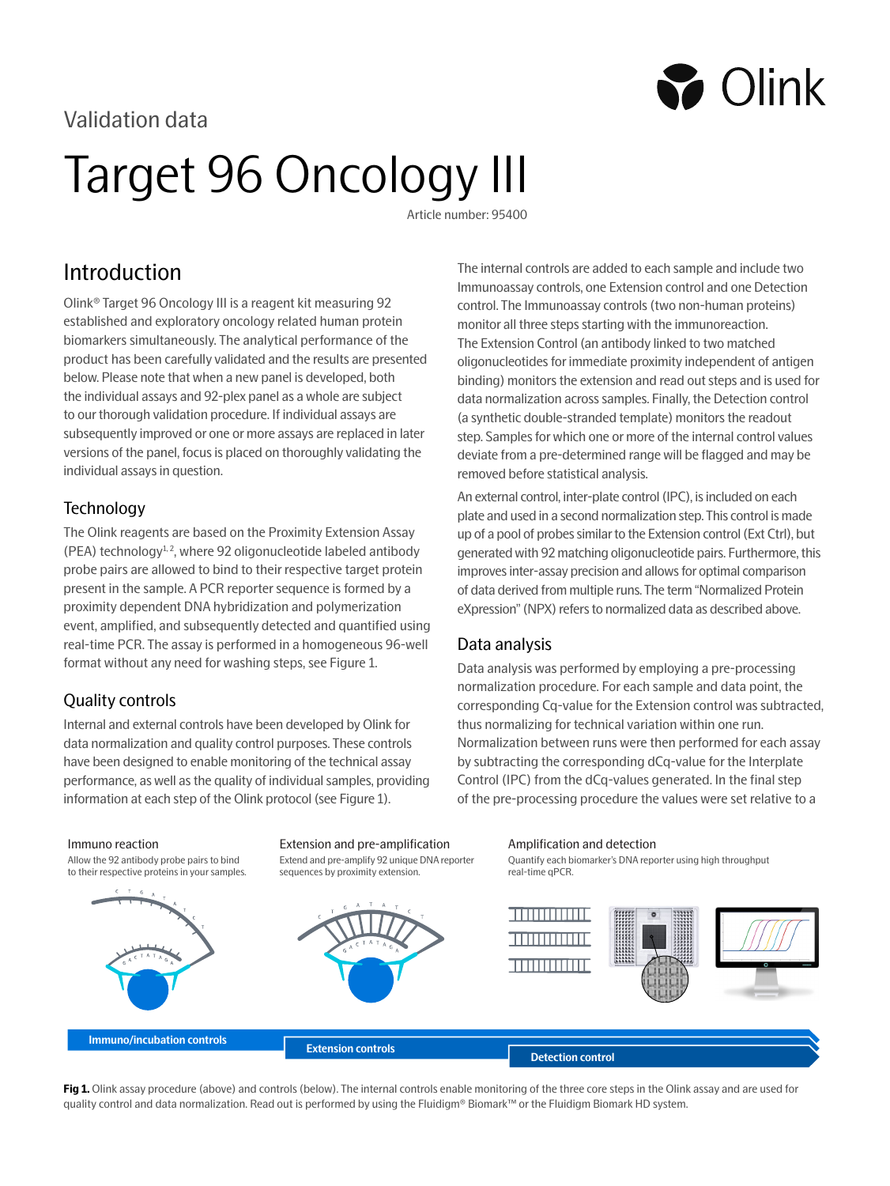# Validation data

# Target 96 Oncology III

Article number: 95400

# Introduction

Olink® Target 96 Oncology III is a reagent kit measuring 92 established and exploratory oncology related human protein biomarkers simultaneously. The analytical performance of the product has been carefully validated and the results are presented below. Please note that when a new panel is developed, both the individual assays and 92-plex panel as a whole are subject to our thorough validation procedure. If individual assays are subsequently improved or one or more assays are replaced in later versions of the panel, focus is placed on thoroughly validating the individual assays in question.

## **Technology**

The Olink reagents are based on the Proximity Extension Assay (PEA) technology $1, 2$ , where 92 oligonucleotide labeled antibody probe pairs are allowed to bind to their respective target protein present in the sample. A PCR reporter sequence is formed by a proximity dependent DNA hybridization and polymerization event, amplified, and subsequently detected and quantified using real-time PCR. The assay is performed in a homogeneous 96-well format without any need for washing steps, see Figure 1.

# Quality controls

Internal and external controls have been developed by Olink for data normalization and quality control purposes. These controls have been designed to enable monitoring of the technical assay performance, as well as the quality of individual samples, providing information at each step of the Olink protocol (see Figure 1).

The internal controls are added to each sample and include two Immunoassay controls, one Extension control and one Detection control. The Immunoassay controls (two non-human proteins) monitor all three steps starting with the immunoreaction. The Extension Control (an antibody linked to two matched oligonucleotides for immediate proximity independent of antigen binding) monitors the extension and read out steps and is used for data normalization across samples. Finally, the Detection control (a synthetic double-stranded template) monitors the readout step. Samples for which one or more of the internal control values deviate from a pre-determined range will be flagged and may be removed before statistical analysis.

**S** Olink

An external control, inter-plate control (IPC), is included on each plate and used in a second normalization step. This control is made up of a pool of probes similar to the Extension control (Ext Ctrl), but generated with 92 matching oligonucleotide pairs. Furthermore, this improves inter-assay precision and allows for optimal comparison of data derived from multiple runs. The term "Normalized Protein eXpression" (NPX) refers to normalized data as described above.

## Data analysis

Data analysis was performed by employing a pre-processing normalization procedure. For each sample and data point, the corresponding Cq-value for the Extension control was subtracted, thus normalizing for technical variation within one run. Normalization between runs were then performed for each assay by subtracting the corresponding dCq-value for the Interplate Control (IPC) from the dCq-values generated. In the final step of the pre-processing procedure the values were set relative to a

#### Immuno reaction

Allow the 92 antibody probe pairs to bind to their respective proteins in your samples.



Extend and pre-amplify 92 unique DNA reporter sequences by proximity extension.





Fig 1. Olink assay procedure (above) and controls (below). The internal controls enable monitoring of the three core steps in the Olink assay and are used for quality control and data normalization. Read out is performed by using the Fluidigm® Biomark™ or the Fluidigm Biomark HD system.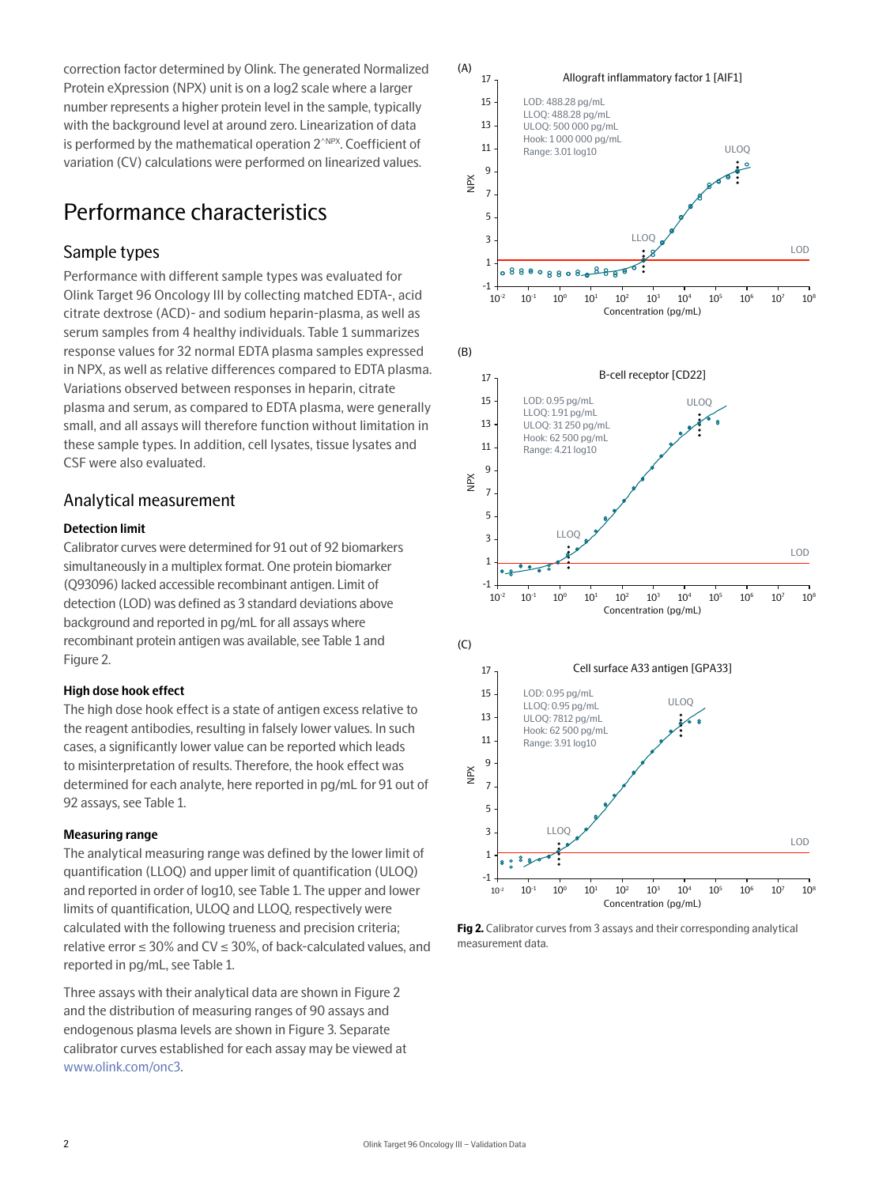correction factor determined by Olink. The generated Normalized Protein eXpression (NPX) unit is on a log2 scale where a larger number represents a higher protein level in the sample, typically with the background level at around zero. Linearization of data is performed by the mathematical operation 2<sup>^NPX</sup>. Coefficient of variation (CV) calculations were performed on linearized values.

# Performance characteristics

## Sample types

Performance with different sample types was evaluated for Olink Target 96 Oncology III by collecting matched EDTA-, acid citrate dextrose (ACD)- and sodium heparin-plasma, as well as serum samples from 4 healthy individuals. Table 1 summarizes response values for 32 normal EDTA plasma samples expressed in NPX, as well as relative differences compared to EDTA plasma. Variations observed between responses in heparin, citrate plasma and serum, as compared to EDTA plasma, were generally small, and all assays will therefore function without limitation in these sample types. In addition, cell lysates, tissue lysates and CSF were also evaluated.

## Analytical measurement

#### **Detection limit**

Calibrator curves were determined for 91 out of 92 biomarkers simultaneously in a multiplex format. One protein biomarker (Q93096) lacked accessible recombinant antigen. Limit of detection (LOD) was defined as 3 standard deviations above background and reported in pg/mL for all assays where recombinant protein antigen was available, see Table 1 and Figure 2.

#### **High dose hook effect**

The high dose hook effect is a state of antigen excess relative to the reagent antibodies, resulting in falsely lower values. In such cases, a significantly lower value can be reported which leads to misinterpretation of results. Therefore, the hook effect was determined for each analyte, here reported in pg/mL for 91 out of 92 assays, see Table 1.

#### **Measuring range**

The analytical measuring range was defined by the lower limit of quantification (LLOQ) and upper limit of quantification (ULOQ) and reported in order of log10, see Table 1. The upper and lower limits of quantification, ULOQ and LLOQ, respectively were calculated with the following trueness and precision criteria; relative error  $\leq$  30% and CV  $\leq$  30%, of back-calculated values, and reported in pg/mL, see Table 1.

Three assays with their analytical data are shown in Figure 2 and the distribution of measuring ranges of 90 assays and endogenous plasma levels are shown in Figure 3. Separate calibrator curves established for each assay may be viewed at [www.olink.com/onc](https://www.olink.com/onc3)3.



Fig 2. Calibrator curves from 3 assays and their corresponding analytical measurement data.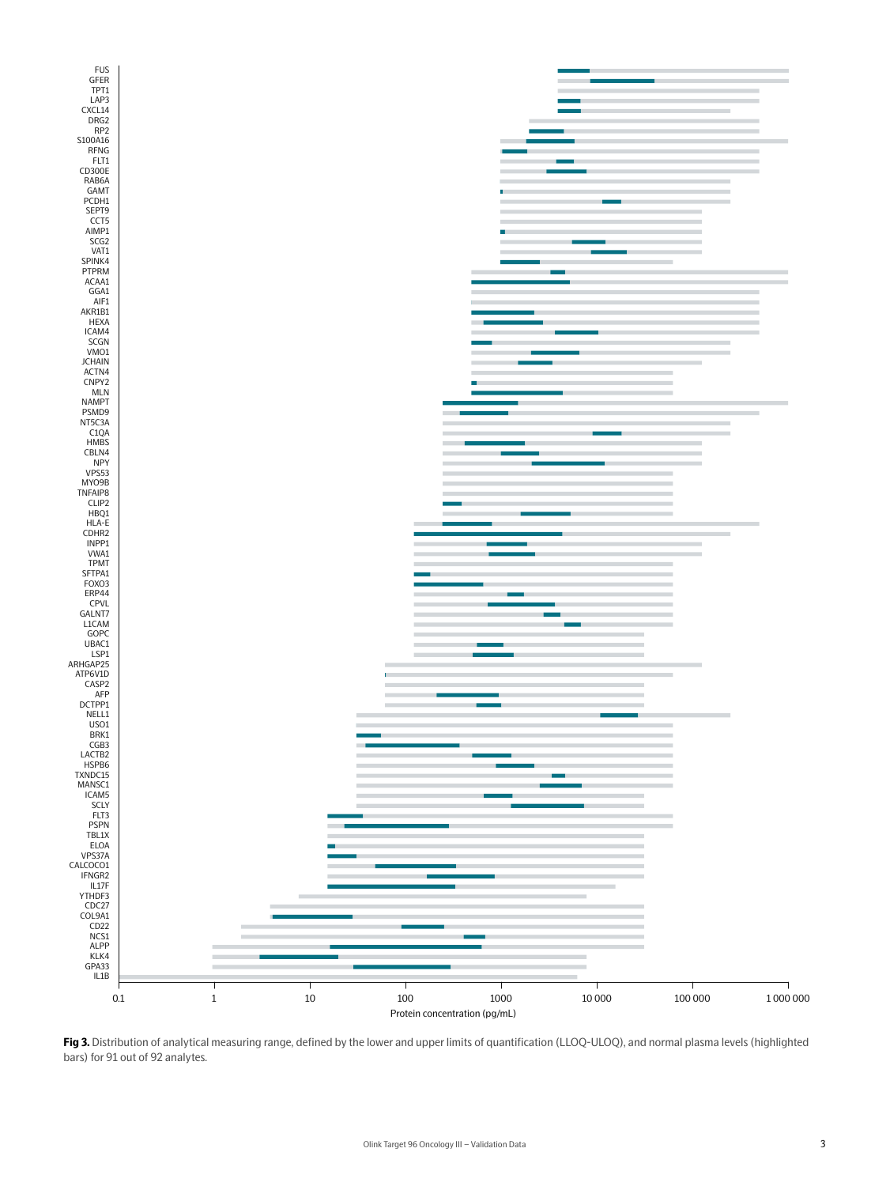

**Fig 3.** Distribution of analytical measuring range, defined by the lower and upper limits of quantification (LLOQ-ULOQ), and normal plasma levels (highlighted bars) for 91 out of 92 analytes.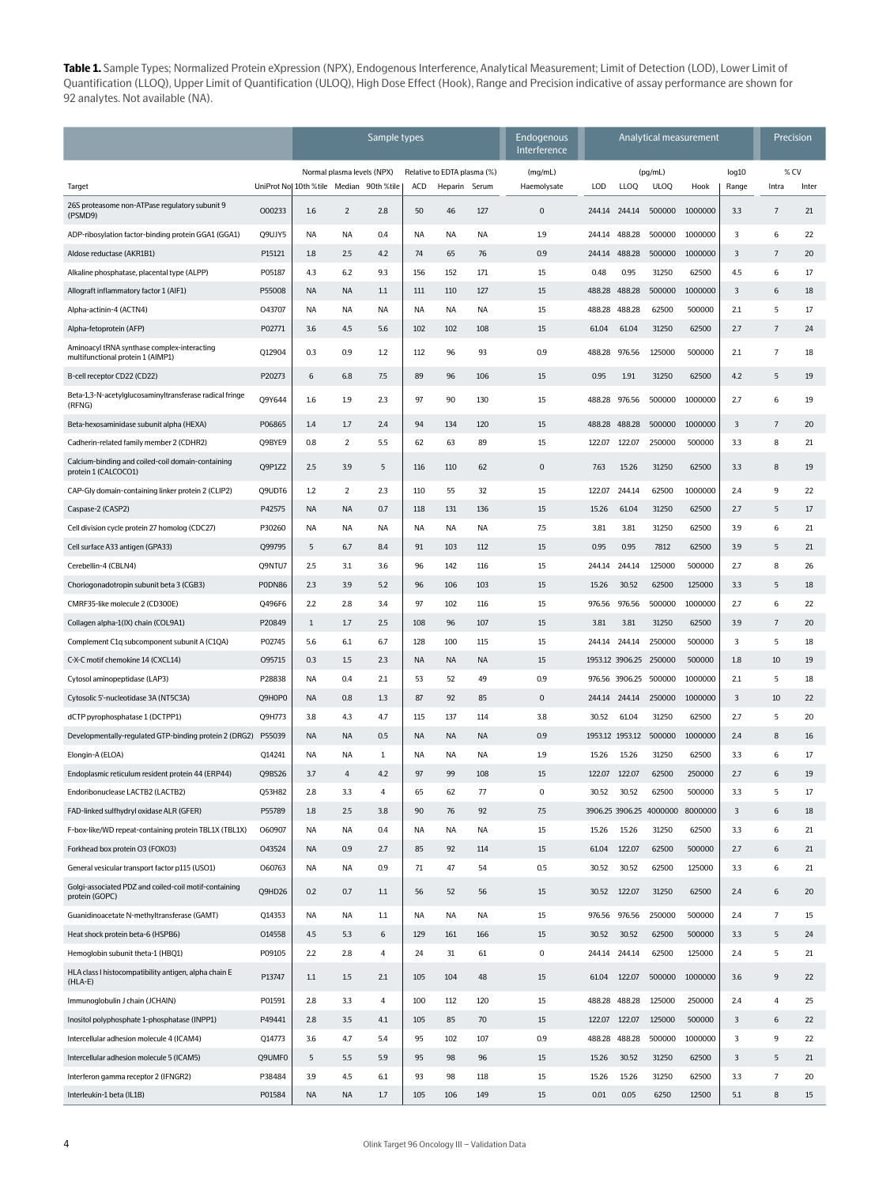**Table 1.** Sample Types; Normalized Protein eXpression (NPX), Endogenous Interference, Analytical Measurement; Limit of Detection (LOD), Lower Limit of Quantification (LLOQ), Upper Limit of Quantification (ULOQ), High Dose Effect (Hook), Range and Precision indicative of assay performance are shown for 92 analytes. Not available (NA).

|                                                                                  |        | Sample types                            |                |                             |           |           |           | Endogenous<br>Interference | Analytical measurement |                 |                                 |         |       | Precision      |       |
|----------------------------------------------------------------------------------|--------|-----------------------------------------|----------------|-----------------------------|-----------|-----------|-----------|----------------------------|------------------------|-----------------|---------------------------------|---------|-------|----------------|-------|
|                                                                                  |        | Normal plasma levels (NPX)              |                | Relative to EDTA plasma (%) |           | (mg/mL)   |           |                            | (pg/mL)                |                 | log10                           | % CV    |       |                |       |
| Target                                                                           |        | UniProt No 10th %tile Median 90th %tile |                |                             | ACD       | Heparin   | Serum     | Haemolysate                | LOD                    | <b>LLOQ</b>     | <b>ULOQ</b>                     | Hook    | Range | Intra          | Inter |
| 26S proteasome non-ATPase regulatory subunit 9<br>(PSMD9)                        | 000233 | 1.6                                     | $\overline{2}$ | 2.8                         | 50        | 46        | 127       | $\mathbf 0$                | 244.14 244.14          |                 | 500000                          | 1000000 | 3.3   | $\overline{7}$ | 21    |
| ADP-ribosylation factor-binding protein GGA1 (GGA1)                              | Q9UJY5 | NA                                      | NA             | 0.4                         | NA        | ΝA        | NA        | 1.9                        | 244.14                 | 488.28          | 500000                          | 1000000 | 3     | 6              | 22    |
| Aldose reductase (AKR1B1)                                                        | P15121 | 1.8                                     | 2.5            | 4.2                         | 74        | 65        | 76        | 0.9                        | 244.14                 | 488.28          | 500000                          | 1000000 | 3     | $\overline{7}$ | 20    |
| Alkaline phosphatase, placental type (ALPP)                                      | P05187 | 4.3                                     | 6.2            | 9.3                         | 156       | 152       | 171       | 15                         | 0.48                   | 0.95            | 31250                           | 62500   | 4.5   | 6              | 17    |
| Allograft inflammatory factor 1 (AIF1)                                           | P55008 | <b>NA</b>                               | <b>NA</b>      | 1.1                         | 111       | 110       | 127       | 15                         | 488.28                 | 488.28          | 500000                          | 1000000 | 3     | 6              | 18    |
| Alpha-actinin-4 (ACTN4)                                                          | 043707 | NA                                      | ΝA             | NA                          | NA        | NA        | NA        | 15                         | 488.28                 | 488.28          | 62500                           | 500000  | 2.1   | 5              | 17    |
| Alpha-fetoprotein (AFP)                                                          | P02771 | 3.6                                     | 4.5            | 5.6                         | 102       | 102       | 108       | 15                         | 61.04                  | 61.04           | 31250                           | 62500   | 2.7   | $\overline{7}$ | 24    |
| Aminoacyl tRNA synthase complex-interacting<br>multifunctional protein 1 (AIMP1) | Q12904 | 0.3                                     | 0.9            | 1.2                         | 112       | 96        | 93        | 0.9                        | 488.28                 | 976.56          | 125000                          | 500000  | 2.1   | $\overline{7}$ | 18    |
| B-cell receptor CD22 (CD22)                                                      | P20273 | 6                                       | 6.8            | 7.5                         | 89        | 96        | 106       | 15                         | 0.95                   | 1.91            | 31250                           | 62500   | 4.2   | 5              | 19    |
| Beta-1,3-N-acetylglucosaminyltransferase radical fringe<br>(RFNG)                | Q9Y644 | 1.6                                     | 1.9            | 2.3                         | 97        | 90        | 130       | 15                         | 488.28                 | 976.56          | 500000                          | 1000000 | 2.7   | 6              | 19    |
| Beta-hexosaminidase subunit alpha (HEXA)                                         | P06865 | 1.4                                     | 1.7            | 2.4                         | 94        | 134       | 120       | 15                         | 488.28                 | 488.28          | 500000                          | 1000000 | 3     | $\overline{7}$ | 20    |
| Cadherin-related family member 2 (CDHR2)                                         | Q9BYE9 | 0.8                                     | $\overline{2}$ | 5.5                         | 62        | 63        | 89        | 15                         | 122.07                 | 122.07          | 250000                          | 500000  | 3.3   | 8              | 21    |
| Calcium-binding and coiled-coil domain-containing<br>protein 1 (CALCOCO1)        | Q9P1Z2 | 2.5                                     | 3.9            | 5                           | 116       | 110       | 62        | $\mathbf 0$                | 7.63                   | 15.26           | 31250                           | 62500   | 3.3   | 8              | 19    |
| CAP-Gly domain-containing linker protein 2 (CLIP2)                               | Q9UDT6 | 1.2                                     | $\overline{2}$ | 2.3                         | 110       | 55        | 32        | 15                         | 122.07                 | 244.14          | 62500                           | 1000000 | 2.4   | 9              | 22    |
| Caspase-2 (CASP2)                                                                | P42575 | NA                                      | <b>NA</b>      | 0.7                         | 118       | 131       | 136       | 15                         | 15.26                  | 61.04           | 31250                           | 62500   | 2.7   | $\overline{5}$ | 17    |
| Cell division cycle protein 27 homolog (CDC27)                                   | P30260 | <b>NA</b>                               | NA             | <b>NA</b>                   | <b>NA</b> | NA        | NA        | 7.5                        | 3.81                   | 3.81            | 31250                           | 62500   | 3.9   | 6              | 21    |
| Cell surface A33 antigen (GPA33)                                                 | Q99795 | 5                                       | 6.7            | 8.4                         | 91        | 103       | 112       | 15                         | 0.95                   | 0.95            | 7812                            | 62500   | 3.9   | 5              | 21    |
| Cerebellin-4 (CBLN4)                                                             | Q9NTU7 | 2.5                                     | 3.1            | 3.6                         | 96        | 142       | 116       | 15                         | 244.14                 | 244.14          | 125000                          | 500000  | 2.7   | 8              | 26    |
| Choriogonadotropin subunit beta 3 (CGB3)                                         | PODN86 | 2.3                                     | 3.9            | 5.2                         | 96        | 106       | 103       | 15                         | 15.26                  | 30.52           | 62500                           | 125000  | 3.3   | 5              | 18    |
| CMRF35-like molecule 2 (CD300E)                                                  | Q496F6 | 2.2                                     | 2.8            | 3.4                         | 97        | 102       | 116       | 15                         | 976.56                 | 976.56          | 500000                          | 1000000 | 2.7   | 6              | 22    |
| Collagen alpha-1(IX) chain (COL9A1)                                              | P20849 | $\mathbf{1}$                            | 1.7            | 2.5                         | 108       | 96        | 107       | 15                         | 3.81                   | 3.81            | 31250                           | 62500   | 3.9   | $\overline{7}$ | 20    |
| Complement C1q subcomponent subunit A (C1QA)                                     | P02745 | 5.6                                     | 6.1            | 6.7                         | 128       | 100       | 115       | 15                         | 244.14 244.14          |                 | 250000                          | 500000  | 3     | 5              | 18    |
| C-X-C motif chemokine 14 (CXCL14)                                                | 095715 | 0.3                                     | 1.5            | 2.3                         | <b>NA</b> | <b>NA</b> | <b>NA</b> | 15                         |                        |                 | 1953.12 3906.25 250000          | 500000  | 1.8   | 10             | 19    |
| Cytosol aminopeptidase (LAP3)                                                    | P28838 | NA                                      | 0.4            | 2.1                         | 53        | 52        | 49        | 0.9                        |                        | 976.56 3906.25  | 500000                          | 1000000 | 2.1   | 5              | 18    |
| Cytosolic 5'-nucleotidase 3A (NT5C3A)                                            | Q9H0P0 | NA                                      | 0.8            | 1.3                         | 87        | 92        | 85        | $\mathbf 0$                | 244.14                 | 244.14          | 250000                          | 1000000 | 3     | 10             | 22    |
| dCTP pyrophosphatase 1 (DCTPP1)                                                  | Q9H773 | 3.8                                     | 4.3            | 4.7                         | 115       | 137       | 114       | 3.8                        | 30.52                  | 61.04           | 31250                           | 62500   | 2.7   | 5              | 20    |
| Developmentally-regulated GTP-binding protein 2 (DRG2) P55039                    |        | <b>NA</b>                               | NA             | 0.5                         | <b>NA</b> | NA        | <b>NA</b> | 0.9                        |                        | 1953.12 1953.12 | 500000                          | 1000000 | 2.4   | 8              | 16    |
| Elongin-A (ELOA)                                                                 | Q14241 | NA                                      | ΝA             | 1                           | ΝA        | ΝA        | ΝA        | 1.9                        | 15.26                  | 15.26           | 31250                           | 62500   | 3.3   | 6              | 17    |
| Endoplasmic reticulum resident protein 44 (ERP44)                                | Q9BS26 | 3.7                                     | 4              | 4.2                         | 97        | 99        | 108       | 15                         | 122.07                 | 122.07          | 62500                           | 250000  | 2.7   | 6              | 19    |
| Endoribonuclease LACTB2 (LACTB2)                                                 | Q53H82 | 2.8                                     | 3.3            | 4                           | 65        | 62        | 77        | $\mathbf 0$                | 30.52                  | 30.52           | 62500                           | 500000  | 3.3   | 5              | 17    |
| FAD-linked sulfhydryl oxidase ALR (GFER)                                         | P55789 | 1.8                                     | 2.5            | 3.8                         | 90        | 76        | 92        | 7.5                        |                        |                 | 3906.25 3906.25 4000000 8000000 |         | 3     | 6              | 18    |
| F-box-like/WD repeat-containing protein TBL1X (TBL1X)                            | 060907 | NA                                      | NA             | 0.4                         | NA        | NA        | <b>NA</b> | 15                         | 15.26                  | 15.26           | 31250                           | 62500   | 3.3   | 6              | 21    |
| Forkhead box protein O3 (FOXO3)                                                  | 043524 | <b>NA</b>                               | 0.9            | 2.7                         | 85        | 92        | 114       | 15                         | 61.04                  | 122.07          | 62500                           | 500000  | 2.7   | 6              | 21    |
| General vesicular transport factor p115 (USO1)                                   | 060763 | <b>NA</b>                               | NA             | 0.9                         | $71\,$    | 47        | 54        | 0.5                        | 30.52                  | 30.52           | 62500                           | 125000  | 3.3   | 6              | 21    |
| Golgi-associated PDZ and coiled-coil motif-containing<br>protein (GOPC)          | Q9HD26 | 0.2                                     | 0.7            | 1.1                         | 56        | 52        | 56        | 15                         | 30.52                  | 122.07          | 31250                           | 62500   | 2.4   | 6              | 20    |
| Guanidinoacetate N-methyltransferase (GAMT)                                      | Q14353 | <b>NA</b>                               | NA             | $1.1\,$                     | <b>NA</b> | NA        | <b>NA</b> | 15                         | 976.56 976.56          |                 | 250000                          | 500000  | 2.4   | $\overline{7}$ | 15    |
| Heat shock protein beta-6 (HSPB6)                                                | 014558 | 4.5                                     | 5.3            | 6                           | 129       | 161       | 166       | 15                         | 30.52                  | 30.52           | 62500                           | 500000  | 3.3   | 5              | 24    |
| Hemoglobin subunit theta-1 (HBQ1)                                                | P09105 | 2.2                                     | 2.8            | $\overline{4}$              | 24        | 31        | 61        | 0                          | 244.14                 | 244.14          | 62500                           | 125000  | 2.4   | 5              | 21    |
| HLA class I histocompatibility antigen, alpha chain E<br>$(HLA-E)$               | P13747 | 1.1                                     | 1.5            | 2.1                         | 105       | 104       | 48        | 15                         | 61.04                  | 122.07          | 500000                          | 1000000 | 3.6   | 9              | 22    |
| Immunoglobulin J chain (JCHAIN)                                                  | P01591 | 2.8                                     | 3.3            | 4                           | 100       | 112       | 120       | 15                         | 488.28                 | 488.28          | 125000                          | 250000  | 2.4   | 4              | 25    |
| Inositol polyphosphate 1-phosphatase (INPP1)                                     | P49441 | 2.8                                     | 3.5            | 4.1                         | 105       | 85        | 70        | 15                         | 122.07                 | 122.07          | 125000                          | 500000  | 3     | 6              | 22    |
| Intercellular adhesion molecule 4 (ICAM4)                                        | Q14773 | 3.6                                     | 4.7            | 5.4                         | 95        | 102       | 107       | 0.9                        | 488.28                 | 488.28          | 500000                          | 1000000 | 3     | 9              | 22    |
| Intercellular adhesion molecule 5 (ICAM5)                                        | Q9UMF0 | 5                                       | 5.5            | 5.9                         | 95        | 98        | 96        | 15                         | 15.26                  | 30.52           | 31250                           | 62500   | 3     | 5              | 21    |
| Interferon gamma receptor 2 (IFNGR2)                                             | P38484 | 3.9                                     | 4.5            | 6.1                         | 93        | 98        | 118       | 15                         | 15.26                  | 15.26           | 31250                           | 62500   | 3.3   | $\overline{7}$ | 20    |
| Interleukin-1 beta (IL1B)                                                        | P01584 | <b>NA</b>                               | <b>NA</b>      | 1.7                         | 105       | 106       | 149       | 15                         | 0.01                   | 0.05            | 6250                            | 12500   | 5.1   | 8              | 15    |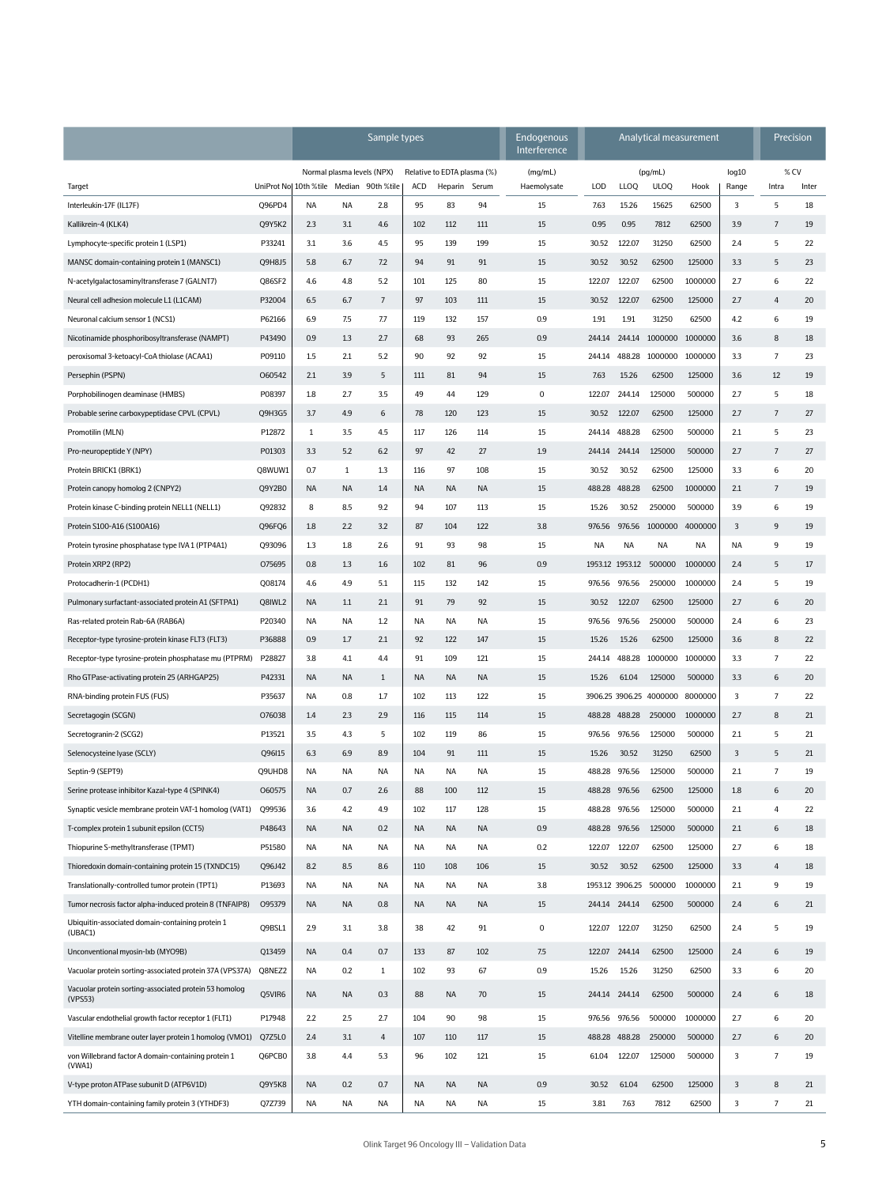|                                                                   |        | Sample types                                                          |              |                                                     |           |                        |                    | Endogenous<br>Interference | Analytical measurement         |                 |                                 |              |                         | Precision        |    |
|-------------------------------------------------------------------|--------|-----------------------------------------------------------------------|--------------|-----------------------------------------------------|-----------|------------------------|--------------------|----------------------------|--------------------------------|-----------------|---------------------------------|--------------|-------------------------|------------------|----|
| Target                                                            |        | Normal plasma levels (NPX)<br>UniProt No 10th %tile Median 90th %tile |              | Relative to EDTA plasma (%)<br>ACD<br>Heparin Serum |           | (mg/mL)<br>Haemolysate | LOD<br><b>LLOQ</b> |                            | (pg/mL)<br><b>ULOQ</b><br>Hook |                 | log10<br>Range                  | %CV<br>Intra | Inter                   |                  |    |
| Interleukin-17F (IL17F)                                           | Q96PD4 | NA                                                                    | <b>NA</b>    | 2.8                                                 | 95        | 83                     | 94                 | 15                         | 7.63                           | 15.26           | 15625                           | 62500        | 3                       | 5                | 18 |
| Kallikrein-4 (KLK4)                                               | Q9Y5K2 | 2.3                                                                   | 3.1          | 4.6                                                 | 102       | 112                    | 111                | 15                         | 0.95                           | 0.95            | 7812                            | 62500        | 3.9                     | 7                | 19 |
| Lymphocyte-specific protein 1 (LSP1)                              | P33241 | 3.1                                                                   | 3.6          | 4.5                                                 | 95        | 139                    | 199                | 15                         | 30.52                          | 122.07          | 31250                           | 62500        | 2.4                     | 5                | 22 |
| MANSC domain-containing protein 1 (MANSC1)                        | Q9H8J5 | 5.8                                                                   | 6.7          | 7.2                                                 | 94        | 91                     | 91                 | 15                         | 30.52                          | 30.52           | 62500                           | 125000       | 3.3                     | 5                | 23 |
| N-acetylgalactosaminyltransferase 7 (GALNT7)                      | Q86SF2 | 4.6                                                                   | 4.8          | 5.2                                                 | 101       | 125                    | 80                 | 15                         | 122.07                         | 122.07          | 62500                           | 1000000      | 2.7                     | 6                | 22 |
| Neural cell adhesion molecule L1 (L1CAM)                          | P32004 | 6.5                                                                   | 6.7          | $\overline{7}$                                      | 97        | 103                    | 111                | 15                         | 30.52                          | 122.07          | 62500                           | 125000       | 2.7                     | 4                | 20 |
| Neuronal calcium sensor 1 (NCS1)                                  | P62166 | 6.9                                                                   | 7.5          | 7.7                                                 | 119       | 132                    | 157                | 0.9                        | 1.91                           | 1.91            | 31250                           | 62500        | 4.2                     | 6                | 19 |
| Nicotinamide phosphoribosyltransferase (NAMPT)                    | P43490 | 0.9                                                                   | 1.3          | 2.7                                                 | 68        | 93                     | 265                | 0.9                        | 244.14                         |                 | 244.14 1000000 1000000          |              | 3.6                     | 8                | 18 |
| peroxisomal 3-ketoacyl-CoA thiolase (ACAA1)                       | P09110 | 1.5                                                                   | 2.1          | 5.2                                                 | 90        | 92                     | 92                 | 15                         | 244.14                         |                 | 488.28 1000000 1000000          |              | 3.3                     | 7                | 23 |
| Persephin (PSPN)                                                  | 060542 | 2.1                                                                   | 3.9          | 5                                                   | 111       | 81                     | 94                 | 15                         | 7.63                           | 15.26           | 62500                           | 125000       | 3.6                     | 12               | 19 |
| Porphobilinogen deaminase (HMBS)                                  | P08397 | 1.8                                                                   | 2.7          | 3.5                                                 | 49        | 44                     | 129                | $\mathbf 0$                | 122.07                         | 244.14          | 125000                          | 500000       | 2.7                     | 5                | 18 |
| Probable serine carboxypeptidase CPVL (CPVL)                      | Q9H3G5 | 3.7                                                                   | 4.9          | 6                                                   | 78        | 120                    | 123                | 15                         | 30.52                          | 122.07          | 62500                           | 125000       | 2.7                     | 7                | 27 |
| Promotilin (MLN)                                                  | P12872 | $\mathbf{1}$                                                          | 3.5          | 4.5                                                 | 117       | 126                    | 114                | 15                         | 244.14                         | 488.28          | 62500                           | 500000       | 2.1                     | 5                | 23 |
| Pro-neuropeptide Y (NPY)                                          | P01303 | 3.3                                                                   | 5.2          | 6.2                                                 | 97        | 42                     | 27                 | 1.9                        | 244.14                         | 244.14          | 125000                          | 500000       | 2.7                     | 7                | 27 |
| Protein BRICK1 (BRK1)                                             | Q8WUW1 | 0.7                                                                   | $\mathbf{1}$ | 1.3                                                 | 116       | 97                     | 108                | 15                         | 30.52                          | 30.52           | 62500                           | 125000       | 3.3                     | 6                | 20 |
| Protein canopy homolog 2 (CNPY2)                                  | Q9Y2B0 | <b>NA</b>                                                             | <b>NA</b>    | 1.4                                                 | <b>NA</b> | <b>NA</b>              | <b>NA</b>          | 15                         | 488.28                         | 488.28          | 62500                           | 1000000      | 2.1                     | $\boldsymbol{7}$ | 19 |
| Protein kinase C-binding protein NELL1 (NELL1)                    | Q92832 | 8                                                                     | 8.5          | 9.2                                                 | 94        | 107                    | 113                | 15                         | 15.26                          | 30.52           | 250000                          | 500000       | 3.9                     | 6                | 19 |
| Protein S100-A16 (S100A16)                                        | Q96FQ6 | 1.8                                                                   | 2.2          | 3.2                                                 | 87        | 104                    | 122                | 3.8                        | 976.56                         |                 | 976.56 1000000 4000000          |              | 3                       | 9                | 19 |
| Protein tyrosine phosphatase type IVA 1 (PTP4A1)                  | Q93096 | 1.3                                                                   | 1.8          | 2.6                                                 | 91        | 93                     | 98                 | 15                         | <b>NA</b>                      | NA              | NA                              | NA           | NA                      | 9                | 19 |
| Protein XRP2 (RP2)                                                | 075695 | 0.8                                                                   | 1.3          | 1.6                                                 | 102       | 81                     | 96                 | 0.9                        |                                | 1953.12 1953.12 | 500000                          | 1000000      | 2.4                     | 5                | 17 |
| Protocadherin-1 (PCDH1)                                           | Q08174 | 4.6                                                                   | 4.9          | 5.1                                                 | 115       | 132                    | 142                | 15                         | 976.56                         | 976.56          | 250000                          | 1000000      | 2.4                     | 5                | 19 |
| Pulmonary surfactant-associated protein A1 (SFTPA1)               | Q8IWL2 | <b>NA</b>                                                             | 1.1          | 2.1                                                 | 91        | 79                     | 92                 | 15                         | 30.52                          | 122.07          | 62500                           | 125000       | 2.7                     | 6                | 20 |
| Ras-related protein Rab-6A (RAB6A)                                | P20340 | NA                                                                    | NA           | 1.2                                                 | NA        | ΝA                     | ΝA                 | 15                         | 976.56                         | 976.56          | 250000                          | 500000       | 2.4                     | 6                | 23 |
| Receptor-type tyrosine-protein kinase FLT3 (FLT3)                 | P36888 | 0.9                                                                   | 1.7          | 2.1                                                 | 92        | 122                    | 147                | 15                         | 15.26                          | 15.26           | 62500                           | 125000       | 3.6                     | 8                | 22 |
| Receptor-type tyrosine-protein phosphatase mu (PTPRM)             | P28827 | 3.8                                                                   | 4.1          | 4.4                                                 | 91        | 109                    | 121                | 15                         | 244.14                         | 488.28          | 1000000                         | 1000000      | 3.3                     | 7                | 22 |
| Rho GTPase-activating protein 25 (ARHGAP25)                       | P42331 | <b>NA</b>                                                             | <b>NA</b>    | $\mathbf{1}$                                        | <b>NA</b> | <b>NA</b>              | <b>NA</b>          | 15                         | 15.26                          | 61.04           | 125000                          | 500000       | 3.3                     | 6                | 20 |
| RNA-binding protein FUS (FUS)                                     | P35637 | <b>NA</b>                                                             | 0.8          | 1.7                                                 | 102       | 113                    | 122                | 15                         |                                |                 | 3906.25 3906.25 4000000 8000000 |              | 3                       | 7                | 22 |
| Secretagogin (SCGN)                                               | 076038 | 1.4                                                                   | 2.3          | 2.9                                                 | 116       | 115                    | 114                | 15                         | 488.28                         | 488.28          | 250000                          | 1000000      | 2.7                     | 8                | 21 |
| Secretogranin-2 (SCG2)                                            | P13521 | 3.5                                                                   | 4.3          | 5                                                   | 102       | 119                    | 86                 | 15                         | 976.56                         | 976.56          | 125000                          | 500000       | 2.1                     | 5                | 21 |
| Selenocysteine Iyase (SCLY)                                       | Q96I15 | 6.3                                                                   | 6.9          | 8.9                                                 | 104       | 91                     | 111                | 15                         | 15.26                          | 30.52           | 31250                           | 62500        | 3                       | 5                | 21 |
| Septin-9 (SEPT9)                                                  | Q9UHD8 | <b>NA</b>                                                             | <b>NA</b>    | NA                                                  | NA        | NA                     | NA                 | 15                         | 488.28                         | 976.56          | 125000                          | 500000       | 2.1                     | 7                | 19 |
| Serine protease inhibitor Kazal-type 4 (SPINK4)                   | 060575 | NA                                                                    | 0.7          | 2.6                                                 | 88        | 100                    | 112                | 15                         | 488.28                         | 976.56          | 62500                           | 125000       | 1.8                     | 6                | 20 |
| Synaptic vesicle membrane protein VAT-1 homolog (VAT1)            | 099536 | 3.6                                                                   | 4.2          | 4.9                                                 | 102       | 117                    | 128                | 15                         |                                | 488.28 976.56   | 125000                          | 500000       | 2.1                     | 4                | 22 |
| T-complex protein 1 subunit epsilon (CCT5)                        | P48643 | <b>NA</b>                                                             | <b>NA</b>    | 0.2                                                 | <b>NA</b> | <b>NA</b>              | <b>NA</b>          | 0.9                        | 488.28                         | 976.56          | 125000                          | 500000       | 2.1                     | 6                | 18 |
| Thiopurine S-methyltransferase (TPMT)                             | P51580 | <b>NA</b>                                                             | NA           | NA                                                  | NA        | NA                     | <b>NA</b>          | 0.2                        | 122.07                         | 122.07          | 62500                           | 125000       | 2.7                     | 6                | 18 |
| Thioredoxin domain-containing protein 15 (TXNDC15)                | Q96J42 | 8.2                                                                   | 8.5          | 8.6                                                 | 110       | 108                    | 106                | 15                         | 30.52                          | 30.52           | 62500                           | 125000       | 3.3                     | 4                | 18 |
| Translationally-controlled tumor protein (TPT1)                   | P13693 | <b>NA</b>                                                             | ΝA           | NA                                                  | NA        | ΝA                     | NA                 | 3.8                        |                                |                 | 1953.12 3906.25 500000          | 1000000      | 2.1                     | 9                | 19 |
| Tumor necrosis factor alpha-induced protein 8 (TNFAIP8)           | 095379 | <b>NA</b>                                                             | NA           | 0.8                                                 | <b>NA</b> | NA                     | <b>NA</b>          | 15                         |                                | 244.14 244.14   | 62500                           | 500000       | 2.4                     | 6                | 21 |
| Ubiquitin-associated domain-containing protein 1<br>(UBAC1)       | Q9BSL1 | 2.9                                                                   | 3.1          | 3.8                                                 | 38        | 42                     | 91                 | $\mathbf 0$                | 122.07                         | 122.07          | 31250                           | 62500        | 2.4                     | 5                | 19 |
| Unconventional myosin-lxb (MYO9B)                                 | Q13459 | <b>NA</b>                                                             | 0.4          | 0.7                                                 | 133       | 87                     | 102                | 7.5                        | 122.07                         | 244.14          | 62500                           | 125000       | 2.4                     | 6                | 19 |
| Vacuolar protein sorting-associated protein 37A (VPS37A)          | Q8NEZ2 | NA                                                                    | 0.2          | $\mathbf{1}$                                        | 102       | 93                     | 67                 | 0.9                        | 15.26                          | 15.26           | 31250                           | 62500        | 3.3                     | 6                | 20 |
| Vacuolar protein sorting-associated protein 53 homolog<br>(VPS53) | Q5VIR6 | <b>NA</b>                                                             | <b>NA</b>    | 0.3                                                 | 88        | <b>NA</b>              | 70                 | 15                         |                                | 244.14 244.14   | 62500                           | 500000       | 2.4                     | 6                | 18 |
| Vascular endothelial growth factor receptor 1 (FLT1)              | P17948 | 2.2                                                                   | 2.5          | 2.7                                                 | 104       | 90                     | 98                 | 15                         | 976.56                         | 976.56          | 500000                          | 1000000      | 2.7                     | 6                | 20 |
| Vitelline membrane outer layer protein 1 homolog (VMO1)           | Q7Z5L0 | 2.4                                                                   | 3.1          | 4                                                   | 107       | 110                    | 117                | 15                         | 488.28                         | 488.28          | 250000                          | 500000       | 2.7                     | 6                | 20 |
| von Willebrand factor A domain-containing protein 1<br>(VWA1)     | Q6PCB0 | 3.8                                                                   | 4.4          | 5.3                                                 | 96        | 102                    | 121                | 15                         | 61.04                          | 122.07          | 125000                          | 500000       | 3                       | 7                | 19 |
| V-type proton ATPase subunit D (ATP6V1D)                          | Q9Y5K8 | NA                                                                    | 0.2          | 0.7                                                 | <b>NA</b> | <b>NA</b>              | <b>NA</b>          | 0.9                        | 30.52                          | 61.04           | 62500                           | 125000       | $\overline{\mathbf{3}}$ | 8                | 21 |
| YTH domain-containing family protein 3 (YTHDF3)                   | Q7Z739 | NA                                                                    | NA           | NA                                                  | NA        | NA                     | NA                 | 15                         | 3.81                           | 7.63            | 7812                            | 62500        | $\sqrt{3}$              | 7                | 21 |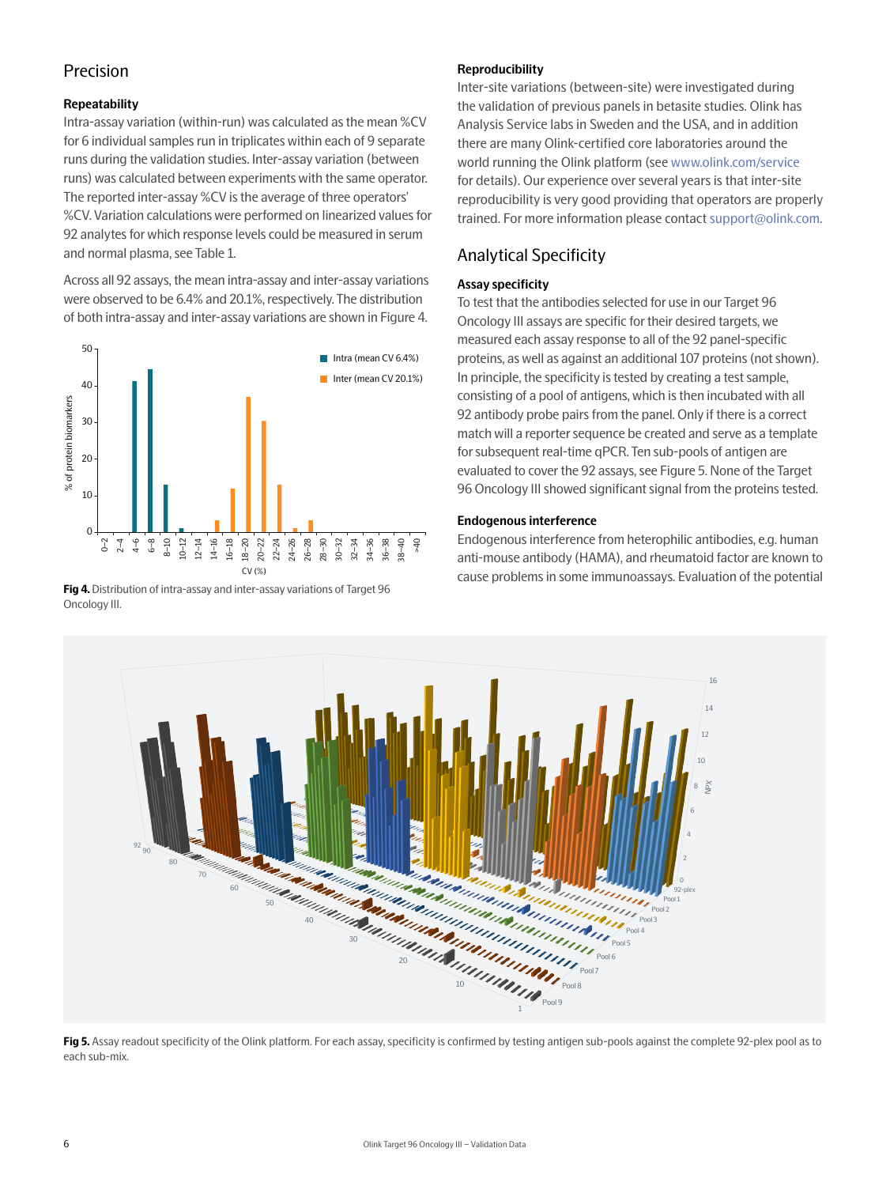## Precision

#### **Repeatability**

Intra-assay variation (within-run) was calculated as the mean %CV for 6 individual samples run in triplicates within each of 9 separate runs during the validation studies. Inter-assay variation (between runs) was calculated between experiments with the same operator. The reported inter-assay %CV is the average of three operators' %CV. Variation calculations were performed on linearized values for 92 analytes for which response levels could be measured in serum and normal plasma, see Table 1.

Across all 92 assays, the mean intra-assay and inter-assay variations were observed to be 6.4% and 20.1%, respectively. The distribution of both intra-assay and inter-assay variations are shown in Figure 4.



**Fig 4.** Distribution of intra-assay and inter-assay variations of Target 96 Oncology III.

#### **Reproducibility**

Inter-site variations (between-site) were investigated during the validation of previous panels in betasite studies. Olink has Analysis Service labs in Sweden and the USA, and in addition there are many Olink-certified core laboratories around the world running the Olink platform (see [www.olink.com/service](https://www.olink.com/service) for details). Our experience over several years is that inter-site reproducibility is very good providing that operators are properly trained. For more information please contact [support@olink.com.](mailto:support%40olink.com?subject=)

# Analytical Specificity

#### **Assay specificity**

To test that the antibodies selected for use in our Target 96 Oncology III assays are specific for their desired targets, we measured each assay response to all of the 92 panel-specific proteins, as well as against an additional 107 proteins (not shown). In principle, the specificity is tested by creating a test sample, consisting of a pool of antigens, which is then incubated with all 92 antibody probe pairs from the panel. Only if there is a correct match will a reporter sequence be created and serve as a template for subsequent real-time qPCR. Ten sub-pools of antigen are evaluated to cover the 92 assays, see Figure 5. None of the Target 96 Oncology III showed significant signal from the proteins tested.

#### **Endogenous interference**

Endogenous interference from heterophilic antibodies, e.g. human anti-mouse antibody (HAMA), and rheumatoid factor are known to cause problems in some immunoassays. Evaluation of the potential



Fig 5. Assay readout specificity of the Olink platform. For each assay, specificity is confirmed by testing antigen sub-pools against the complete 92-plex pool as to each sub-mix.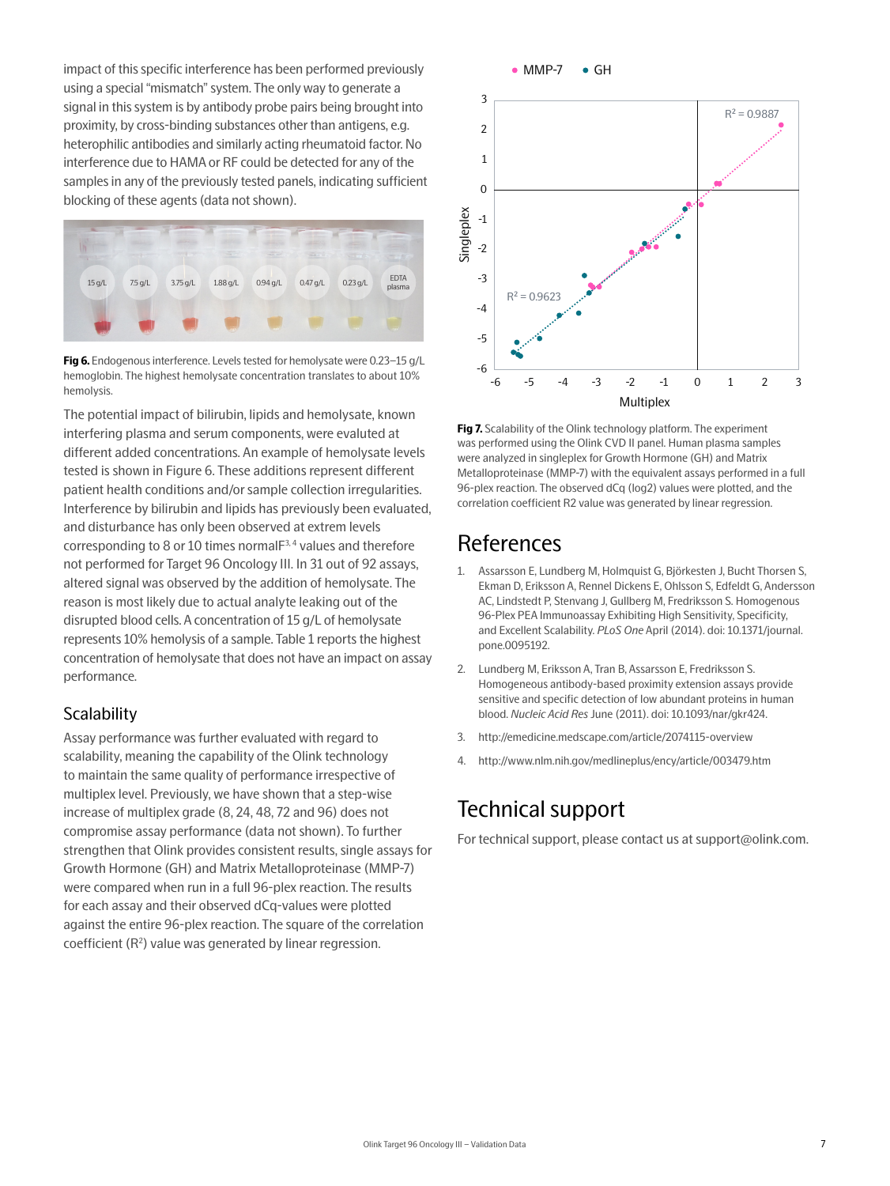impact of this specific interference has been performed previously using a special "mismatch" system. The only way to generate a signal in this system is by antibody probe pairs being brought into proximity, by cross-binding substances other than antigens, e.g. heterophilic antibodies and similarly acting rheumatoid factor. No interference due to HAMA or RF could be detected for any of the samples in any of the previously tested panels, indicating sufficient blocking of these agents (data not shown).



**Fig 6.** Endogenous interference. Levels tested for hemolysate were 0.23–15 g/L hemoglobin. The highest hemolysate concentration translates to about 10% hemolysis.

The potential impact of bilirubin, lipids and hemolysate, known interfering plasma and serum components, were evaluted at different added concentrations. An example of hemolysate levels tested is shown in Figure 6. These additions represent different patient health conditions and/or sample collection irregularities. Interference by bilirubin and lipids has previously been evaluated, and disturbance has only been observed at extrem levels corresponding to 8 or 10 times normal $F^{3,4}$  values and therefore not performed for Target 96 Oncology III. In 31 out of 92 assays, altered signal was observed by the addition of hemolysate. The reason is most likely due to actual analyte leaking out of the disrupted blood cells. A concentration of 15 g/L of hemolysate represents 10% hemolysis of a sample. Table 1 reports the highest concentration of hemolysate that does not have an impact on assay performance.

### **Scalability**

Assay performance was further evaluated with regard to scalability, meaning the capability of the Olink technology to maintain the same quality of performance irrespective of multiplex level. Previously, we have shown that a step-wise increase of multiplex grade (8, 24, 48, 72 and 96) does not compromise assay performance (data not shown). To further strengthen that Olink provides consistent results, single assays for Growth Hormone (GH) and Matrix Metalloproteinase (MMP-7) were compared when run in a full 96-plex reaction. The results for each assay and their observed dCq-values were plotted against the entire 96-plex reaction. The square of the correlation coefficient (R<sup>2</sup>) value was generated by linear regression.



**Fig 7.** Scalability of the Olink technology platform. The experiment was performed using the Olink CVD II panel. Human plasma samples were analyzed in singleplex for Growth Hormone (GH) and Matrix Metalloproteinase (MMP-7) with the equivalent assays performed in a full 96-plex reaction. The observed dCq (log2) values were plotted, and the correlation coefficient R2 value was generated by linear regression.

# References

- 1. Assarsson E, Lundberg M, Holmquist G, Björkesten J, Bucht Thorsen S, Ekman D, Eriksson A, Rennel Dickens E, Ohlsson S, Edfeldt G, Andersson AC, Lindstedt P, Stenvang J, Gullberg M, Fredriksson S. Homogenous 96-Plex PEA Immunoassay Exhibiting High Sensitivity, Specificity, and Excellent Scalability. *PLoS One* April (2014). doi: 10.1371/journal. pone.0095192.
- 2. Lundberg M, Eriksson A, Tran B, Assarsson E, Fredriksson S. Homogeneous antibody-based proximity extension assays provide sensitive and specific detection of low abundant proteins in human blood. *Nucleic Acid Res* June (2011). doi: 10.1093/nar/gkr424.
- 3. http://emedicine.medscape.com/article/2074115-overview
- 4. http://www.nlm.nih.gov/medlineplus/ency/article/003479.htm

# Technical support

For technical support, please contact us at support@olink.com.